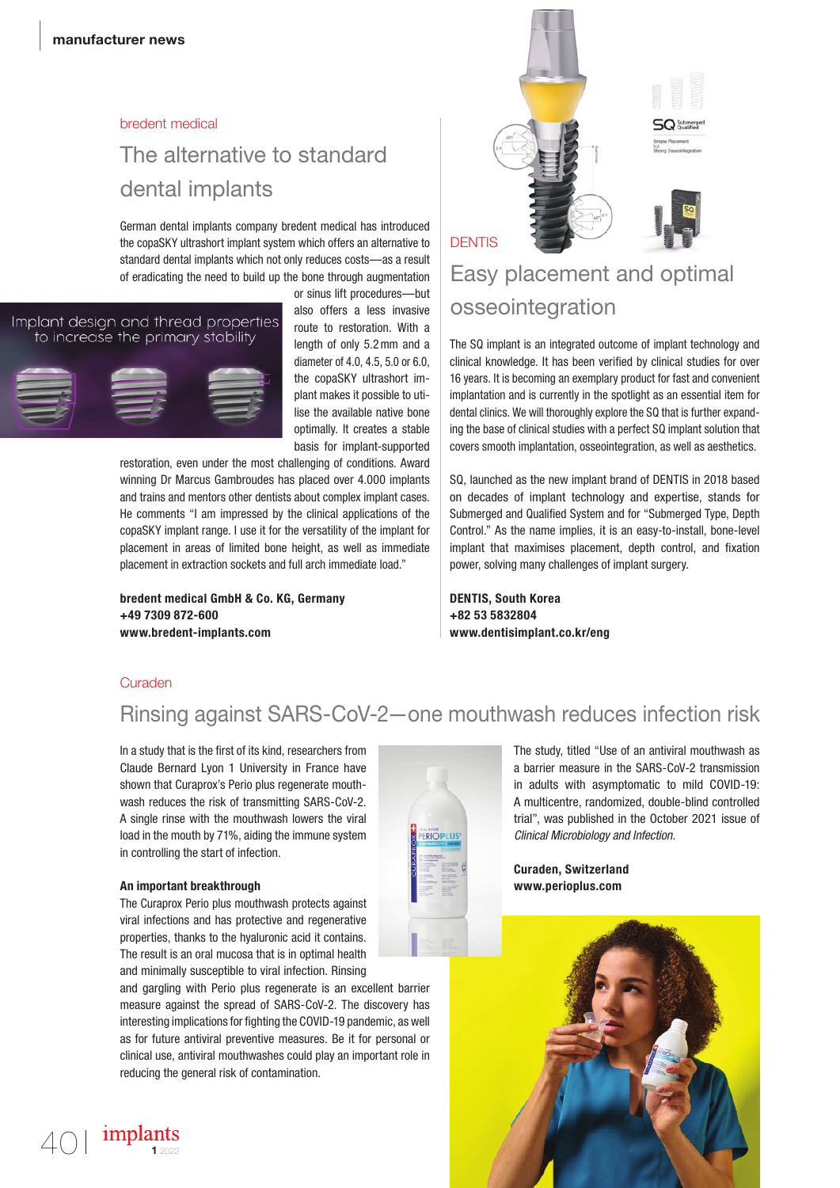#### bredent medical

# The alternative to standard dental implants

German dental implants company bredent medical has introduced the copaSKY ultrashort implant system which offers an alternative to standard dental implants which not only reduces costs—as a result of eradicating the need to build up the bone through augmentation

#### Implant design and thread properties to increase the primary stability



or sinus lift procedures—but also offers a less invasive route to restoration. With a length of only 5.2mm and a diameter of 4.0, 4.5, 5.0 or 6.0, the copaSKY ultrashort implant makes it possible to utilise the available native bone optimally. It creates a stable basis for implant-supported

restoration, even under the most challenging of conditions. Award winning Dr Marcus Gambroudes has placed over 4.000 implants and trains and mentors other dentists about complex implant cases. He comments "I am impressed by the clinical applications of the copaSKY implant range. I use it for the versatility of the implant for placement in areas of limited bone height, as well as immediate placement in extraction sockets and full arch immediate load."

bredent medical GmbH & Co. KG, Germany +49 7309 872-600 www.bredent-implants.com



### **DENTIS**

# Easy placement and optimal osseointegration

The SQ implant is an integrated outcome of implant technology and clinical knowledge. It has been verified by clinical studies for over 16 years. It is becoming an exemplary product for fast and convenient implantation and is currently in the spotlight as an essential item for dental clinics. We will thoroughly explore the SQ that is further expanding the base of clinical studies with a perfect SQ implant solution that covers smooth implantation, osseointegration, as well as aesthetics.

SQ, launched as the new implant brand of DENTIS in 2018 based on decades of implant technology and expertise, stands for Submerged and Qualified System and for "Submerged Type, Depth Control." As the name implies, it is an easy-to-install, bone-level implant that maximises placement, depth control, and fixation power, solving many challenges of implant surgery.

DENTIS, South Korea +82 53 5832804 www.dentisimplant.co.kr/eng

### **Curaden**

### Rinsing against SARS-CoV-2—one mouthwash reduces infection risk

**RIOPLU** 

In a study that is the first of its kind, researchers from Claude Bernard Lyon 1 University in France have shown that Curaprox's Perio plus regenerate mouthwash reduces the risk of transmitting SARS-CoV-2. A single rinse with the mouthwash lowers the viral load in the mouth by 71%, aiding the immune system in controlling the start of infection.

### An important breakthrough

The Curaprox Perio plus mouthwash protects against viral infections and has protective and regenerative properties, thanks to the hyaluronic acid it contains. The result is an oral mucosa that is in optimal health and minimally susceptible to viral infection. Rinsing

and gargling with Perio plus regenerate is an excellent barrier measure against the spread of SARS-CoV-2. The discovery has interesting implications for fighting the COVID-19 pandemic, as well as for future antiviral preventive measures. Be it for personal or clinical use, antiviral mouthwashes could play an important role in reducing the general risk of contamination.

The study, titled "Use of an antiviral mouthwash as a barrier measure in the SARS-CoV-2 transmission in adults with asymptomatic to mild COVID-19: A multicentre, randomized, double-blind controlled trial", was published in the October 2021 issue of *Clinical Microbiology and Infection*.

Curaden, Switzerland www.perioplus.com

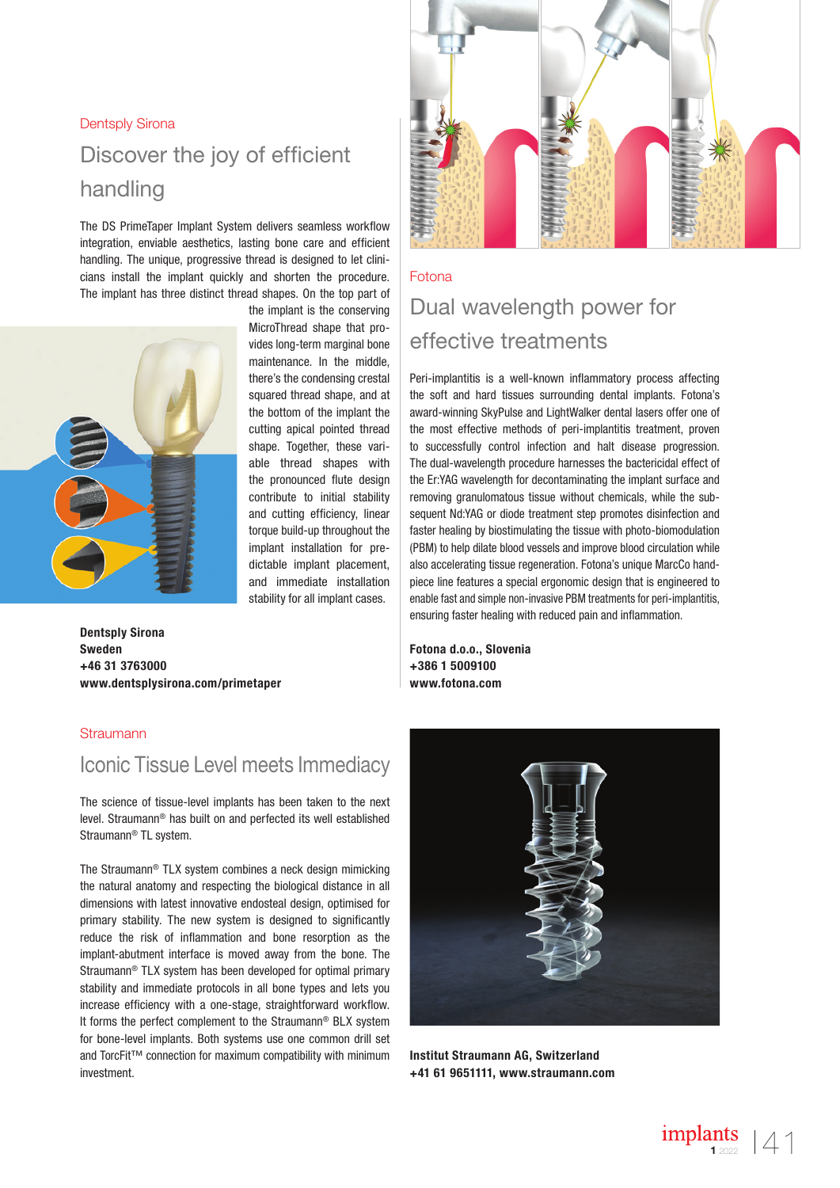### Dentsply Sirona

# Discover the joy of efficient handling

The DS PrimeTaper Implant System delivers seamless workflow integration, enviable aesthetics, lasting bone care and efficient handling. The unique, progressive thread is designed to let clinicians install the implant quickly and shorten the procedure. The implant has three distinct thread shapes. On the top part of



the implant is the conserving MicroThread shape that provides long-term marginal bone maintenance. In the middle, there's the condensing crestal squared thread shape, and at the bottom of the implant the cutting apical pointed thread shape. Together, these variable thread shapes with the pronounced flute design contribute to initial stability and cutting efficiency, linear torque build-up throughout the implant installation for predictable implant placement, and immediate installation stability for all implant cases.

Dentsply Sirona Sweden +46 31 3763000 www.dentsplysirona.com/primetaper

### **Straumann**

### Iconic Tissue Level meets Immediacy

The science of tissue-level implants has been taken to the next level. Straumann® has built on and perfected its well established Straumann® TL system.

The Straumann® TLX system combines a neck design mimicking the natural anatomy and respecting the biological distance in all dimensions with latest innovative endosteal design, optimised for primary stability. The new system is designed to significantly reduce the risk of inflammation and bone resorption as the implant-abutment interface is moved away from the bone. The Straumann® TLX system has been developed for optimal primary stability and immediate protocols in all bone types and lets you increase efficiency with a one-stage, straightforward workflow. It forms the perfect complement to the Straumann® BLX system for bone-level implants. Both systems use one common drill set and TorcFit™ connection for maximum compatibility with minimum investment.



### Fotona

# Dual wavelength power for effective treatments

Peri-implantitis is a well-known inflammatory process affecting the soft and hard tissues surrounding dental implants. Fotona's award-winning SkyPulse and LightWalker dental lasers offer one of the most effective methods of peri-implantitis treatment, proven to successfully control infection and halt disease progression. The dual-wavelength procedure harnesses the bactericidal effect of the Er:YAG wavelength for decontaminating the implant surface and removing granulomatous tissue without chemicals, while the subsequent Nd:YAG or diode treatment step promotes disinfection and faster healing by biostimulating the tissue with photo-biomodulation (PBM) to help dilate blood vessels and improve blood circulation while also accelerating tissue regeneration. Fotona's unique MarcCo handpiece line features a special ergonomic design that is engineered to enable fast and simple non-invasive PBM treatments for peri-implantitis, ensuring faster healing with reduced pain and inflammation.

Fotona d.o.o., Slovenia +386 1 5009100 www.fotona.com



Institut Straumann AG, Switzerland +41 61 9651111, www.straumann.com